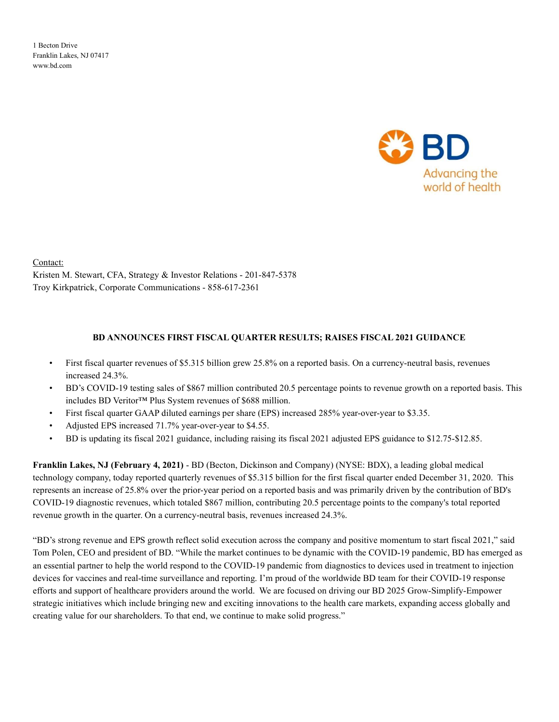1 Becton Drive Franklin Lakes, NJ 07417 www.bd.com



Contact: Kristen M. Stewart, CFA, Strategy & Investor Relations - 201-847-5378 Troy Kirkpatrick, Corporate Communications - 858-617-2361

#### BD ANNOUNCES FIRST FISCAL QUARTER RESULTS; RAISES FISCAL 2021 GUIDANCE

- First fiscal quarter revenues of \$5.315 billion grew 25.8% on a reported basis. On a currency-neutral basis, revenues increased 24.3%.
- BD's COVID-19 testing sales of \$867 million contributed 20.5 percentage points to revenue growth on a reported basis. This includes BD Veritor™ Plus System revenues of \$688 million.
- First fiscal quarter GAAP diluted earnings per share (EPS) increased 285% year-over-year to \$3.35.
- Adjusted EPS increased 71.7% year-over-year to \$4.55.
- BD is updating its fiscal 2021 guidance, including raising its fiscal 2021 adjusted EPS guidance to \$12.75-\$12.85.

Franklin Lakes, NJ (February 4, 2021) - BD (Becton, Dickinson and Company) (NYSE: BDX), a leading global medical technology company, today reported quarterly revenues of \$5.315 billion for the first fiscal quarter ended December 31, 2020. This represents an increase of 25.8% over the prior-year period on a reported basis and was primarily driven by the contribution of BD's COVID-19 diagnostic revenues, which totaled \$867 million, contributing 20.5 percentage points to the company's total reported revenue growth in the quarter. On a currency-neutral basis, revenues increased 24.3%.

"BD's strong revenue and EPS growth reflect solid execution across the company and positive momentum to start fiscal 2021," said Tom Polen, CEO and president of BD. "While the market continues to be dynamic with the COVID-19 pandemic, BD has emerged as an essential partner to help the world respond to the COVID-19 pandemic from diagnostics to devices used in treatment to injection devices for vaccines and real-time surveillance and reporting. I'm proud of the worldwide BD team for their COVID-19 response efforts and support of healthcare providers around the world. We are focused on driving our BD 2025 Grow-Simplify-Empower strategic initiatives which include bringing new and exciting innovations to the health care markets, expanding access globally and creating value for our shareholders. To that end, we continue to make solid progress."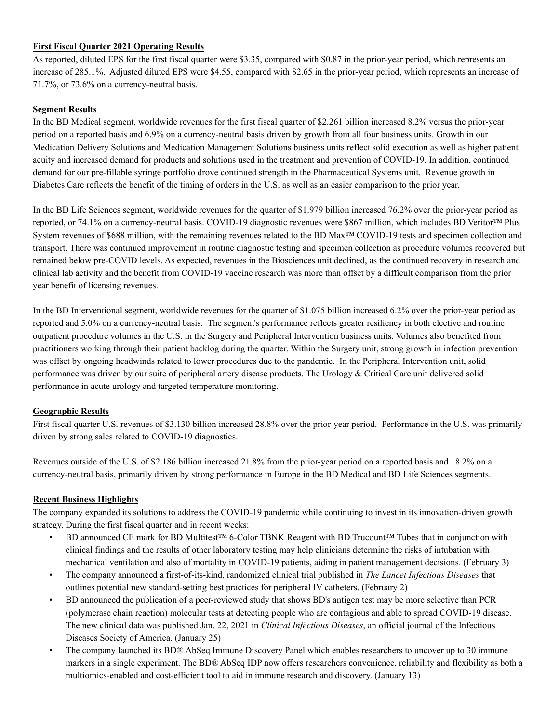#### First Fiscal Quarter 2021 Operating Results

As reported, diluted EPS for the first fiscal quarter were \$3.35, compared with \$0.87 in the prior-year period, which represents an increase of 285.1%. Adjusted diluted EPS were \$4.55, compared with \$2.65 in the prior-year period, which represents an increase of 71.7%, or 73.6% on a currency-neutral basis.

#### Segment Results

In the BD Medical segment, worldwide revenues for the first fiscal quarter of \$2.261 billion increased 8.2% versus the prior-year period on a reported basis and 6.9% on a currency-neutral basis driven by growth from all four business units. Growth in our Medication Delivery Solutions and Medication Management Solutions business units reflect solid execution as well as higher patient acuity and increased demand for products and solutions used in the treatment and prevention of COVID-19. In addition, continued demand for our pre-fillable syringe portfolio drove continued strength in the Pharmaceutical Systems unit. Revenue growth in Diabetes Care reflects the benefit of the timing of orders in the U.S. as well as an easier comparison to the prior year.

In the BD Life Sciences segment, worldwide revenues for the quarter of \$1.979 billion increased 76.2% over the prior-year period as reported, or 74.1% on a currency-neutral basis. COVID-19 diagnostic revenues were \$867 million, which includes BD Veritor™ Plus System revenues of \$688 million, with the remaining revenues related to the BD Max™ COVID-19 tests and specimen collection and transport. There was continued improvement in routine diagnostic testing and specimen collection as procedure volumes recovered but remained below pre-COVID levels. As expected, revenues in the Biosciences unit declined, as the continued recovery in research and clinical lab activity and the benefit from COVID-19 vaccine research was more than offset by a difficult comparison from the prior year benefit of licensing revenues.

In the BD Interventional segment, worldwide revenues for the quarter of \$1.075 billion increased 6.2% over the prior-year period as reported and 5.0% on a currency-neutral basis. The segment's performance reflects greater resiliency in both elective and routine outpatient procedure volumes in the U.S. in the Surgery and Peripheral Intervention business units. Volumes also benefited from practitioners working through their patient backlog during the quarter. Within the Surgery unit, strong growth in infection prevention was offset by ongoing headwinds related to lower procedures due to the pandemic. In the Peripheral Intervention unit, solid performance was driven by our suite of peripheral artery disease products. The Urology & Critical Care unit delivered solid performance in acute urology and targeted temperature monitoring.

## Geographic Results

First fiscal quarter U.S. revenues of \$3.130 billion increased 28.8% over the prior-year period. Performance in the U.S. was primarily driven by strong sales related to COVID-19 diagnostics.

Revenues outside of the U.S. of \$2.186 billion increased 21.8% from the prior-year period on a reported basis and 18.2% on a currency-neutral basis, primarily driven by strong performance in Europe in the BD Medical and BD Life Sciences segments.

## Recent Business Highlights

The company expanded its solutions to address the COVID-19 pandemic while continuing to invest in its innovation-driven growth strategy. During the first fiscal quarter and in recent weeks:

- BD announced CE mark for BD Multitest™ 6-Color TBNK Reagent with BD Trucount™ Tubes that in conjunction with clinical findings and the results of other laboratory testing may help clinicians determine the risks of intubation with mechanical ventilation and also of mortality in COVID-19 patients, aiding in patient management decisions. (February 3)
- The company announced a first-of-its-kind, randomized clinical trial published in The Lancet Infectious Diseases that outlines potential new standard-setting best practices for peripheral IV catheters. (February 2)
- BD announced the publication of a peer-reviewed study that shows BD's antigen test may be more selective than PCR (polymerase chain reaction) molecular tests at detecting people who are contagious and able to spread COVID-19 disease. The new clinical data was published Jan. 22, 2021 in Clinical Infectious Diseases, an official journal of the Infectious Diseases Society of America. (January 25)
- The company launched its BD® AbSeq Immune Discovery Panel which enables researchers to uncover up to 30 immune markers in a single experiment. The BD® AbSeq IDP now offers researchers convenience, reliability and flexibility as both a multiomics-enabled and cost-efficient tool to aid in immune research and discovery. (January 13)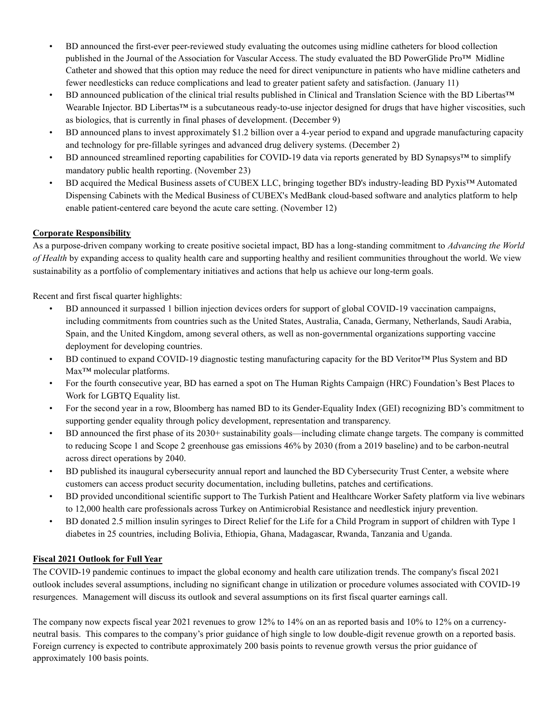- BD announced the first-ever peer-reviewed study evaluating the outcomes using midline catheters for blood collection published in the Journal of the Association for Vascular Access. The study evaluated the BD PowerGlide Pro™ Midline Catheter and showed that this option may reduce the need for direct venipuncture in patients who have midline catheters and fewer needlesticks can reduce complications and lead to greater patient safety and satisfaction. (January 11)
- BD announced publication of the clinical trial results published in Clinical and Translation Science with the BD Libertas™ Wearable Injector. BD Libertas™ is a subcutaneous ready-to-use injector designed for drugs that have higher viscosities, such as biologics, that is currently in final phases of development. (December 9)
- BD announced plans to invest approximately \$1.2 billion over a 4-year period to expand and upgrade manufacturing capacity and technology for pre-fillable syringes and advanced drug delivery systems. (December 2)
- BD announced streamlined reporting capabilities for COVID-19 data via reports generated by BD Synapsys™ to simplify mandatory public health reporting. (November 23)
- BD acquired the Medical Business assets of CUBEX LLC, bringing together BD's industry-leading BD Pyxis™ Automated Dispensing Cabinets with the Medical Business of CUBEX's MedBank cloud-based software and analytics platform to help enable patient-centered care beyond the acute care setting. (November 12)

## Corporate Responsibility

As a purpose-driven company working to create positive societal impact, BD has a long-standing commitment to Advancing the World of Health by expanding access to quality health care and supporting healthy and resilient communities throughout the world. We view sustainability as a portfolio of complementary initiatives and actions that help us achieve our long-term goals.

Recent and first fiscal quarter highlights:

- BD announced it surpassed 1 billion injection devices orders for support of global COVID-19 vaccination campaigns, including commitments from countries such as the United States, Australia, Canada, Germany, Netherlands, Saudi Arabia, Spain, and the United Kingdom, among several others, as well as non-governmental organizations supporting vaccine deployment for developing countries.
- BD continued to expand COVID-19 diagnostic testing manufacturing capacity for the BD Veritor™ Plus System and BD Max™ molecular platforms.
- For the fourth consecutive year, BD has earned a spot on The Human Rights Campaign (HRC) Foundation's Best Places to Work for LGBTQ Equality list.
- For the second year in a row, Bloomberg has named BD to its Gender-Equality Index (GEI) recognizing BD's commitment to supporting gender equality through policy development, representation and transparency.
- BD announced the first phase of its 2030+ sustainability goals—including climate change targets. The company is committed to reducing Scope 1 and Scope 2 greenhouse gas emissions 46% by 2030 (from a 2019 baseline) and to be carbon-neutral across direct operations by 2040.
- BD published its inaugural cybersecurity annual report and launched the BD Cybersecurity Trust Center, a website where customers can access product security documentation, including bulletins, patches and certifications.
- BD provided unconditional scientific support to The Turkish Patient and Healthcare Worker Safety platform via live webinars to 12,000 health care professionals across Turkey on Antimicrobial Resistance and needlestick injury prevention.
- BD donated 2.5 million insulin syringes to Direct Relief for the Life for a Child Program in support of children with Type 1 diabetes in 25 countries, including Bolivia, Ethiopia, Ghana, Madagascar, Rwanda, Tanzania and Uganda.

## Fiscal 2021 Outlook for Full Year

The COVID-19 pandemic continues to impact the global economy and health care utilization trends. The company's fiscal 2021 outlook includes several assumptions, including no significant change in utilization or procedure volumes associated with COVID-19 resurgences. Management will discuss its outlook and several assumptions on its first fiscal quarter earnings call.

The company now expects fiscal year 2021 revenues to grow 12% to 14% on an as reported basis and 10% to 12% on a currencyneutral basis. This compares to the company's prior guidance of high single to low double-digit revenue growth on a reported basis. Foreign currency is expected to contribute approximately 200 basis points to revenue growth versus the prior guidance of approximately 100 basis points.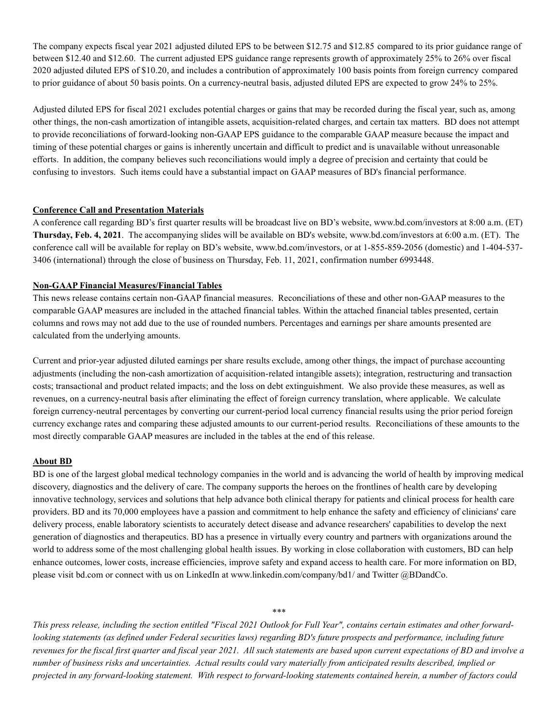The company expects fiscal year 2021 adjusted diluted EPS to be between \$12.75 and \$12.85 compared to its prior guidance range of between \$12.40 and \$12.60. The current adjusted EPS guidance range represents growth of approximately 25% to 26% over fiscal 2020 adjusted diluted EPS of \$10.20, and includes a contribution of approximately 100 basis points from foreign currency compared to prior guidance of about 50 basis points. On a currency-neutral basis, adjusted diluted EPS are expected to grow 24% to 25%.

Adjusted diluted EPS for fiscal 2021 excludes potential charges or gains that may be recorded during the fiscal year, such as, among other things, the non-cash amortization of intangible assets, acquisition-related charges, and certain tax matters. BD does not attempt to provide reconciliations of forward-looking non-GAAP EPS guidance to the comparable GAAP measure because the impact and timing of these potential charges or gains is inherently uncertain and difficult to predict and is unavailable without unreasonable efforts. In addition, the company believes such reconciliations would imply a degree of precision and certainty that could be confusing to investors. Such items could have a substantial impact on GAAP measures of BD's financial performance.

#### Conference Call and Presentation Materials

A conference call regarding BD's first quarter results will be broadcast live on BD's website, www.bd.com/investors at 8:00 a.m. (ET) Thursday, Feb. 4, 2021. The accompanying slides will be available on BD's website, www.bd.com/investors at 6:00 a.m. (ET). The conference call will be available for replay on BD's website, www.bd.com/investors, or at 1-855-859-2056 (domestic) and 1-404-537- 3406 (international) through the close of business on Thursday, Feb. 11, 2021, confirmation number 6993448.

#### Non-GAAP Financial Measures/Financial Tables

This news release contains certain non-GAAP financial measures. Reconciliations of these and other non-GAAP measures to the comparable GAAP measures are included in the attached financial tables. Within the attached financial tables presented, certain columns and rows may not add due to the use of rounded numbers. Percentages and earnings per share amounts presented are calculated from the underlying amounts.

Current and prior-year adjusted diluted earnings per share results exclude, among other things, the impact of purchase accounting adjustments (including the non-cash amortization of acquisition-related intangible assets); integration, restructuring and transaction costs; transactional and product related impacts; and the loss on debt extinguishment. We also provide these measures, as well as revenues, on a currency-neutral basis after eliminating the effect of foreign currency translation, where applicable. We calculate foreign currency-neutral percentages by converting our current-period local currency financial results using the prior period foreign currency exchange rates and comparing these adjusted amounts to our current-period results. Reconciliations of these amounts to the most directly comparable GAAP measures are included in the tables at the end of this release.

#### About BD

BD is one of the largest global medical technology companies in the world and is advancing the world of health by improving medical discovery, diagnostics and the delivery of care. The company supports the heroes on the frontlines of health care by developing innovative technology, services and solutions that help advance both clinical therapy for patients and clinical process for health care providers. BD and its 70,000 employees have a passion and commitment to help enhance the safety and efficiency of clinicians' care delivery process, enable laboratory scientists to accurately detect disease and advance researchers' capabilities to develop the next generation of diagnostics and therapeutics. BD has a presence in virtually every country and partners with organizations around the world to address some of the most challenging global health issues. By working in close collaboration with customers, BD can help enhance outcomes, lower costs, increase efficiencies, improve safety and expand access to health care. For more information on BD, please visit bd.com or connect with us on LinkedIn at www.linkedin.com/company/bd1/ and Twitter @BDandCo.

This press release, including the section entitled "Fiscal 2021 Outlook for Full Year", contains certain estimates and other forwardlooking statements (as defined under Federal securities laws) regarding BD's future prospects and performance, including future revenues for the fiscal first quarter and fiscal year 2021. All such statements are based upon current expectations of BD and involve a number of business risks and uncertainties. Actual results could vary materially from anticipated results described, implied or projected in any forward-looking statement. With respect to forward-looking statements contained herein, a number of factors could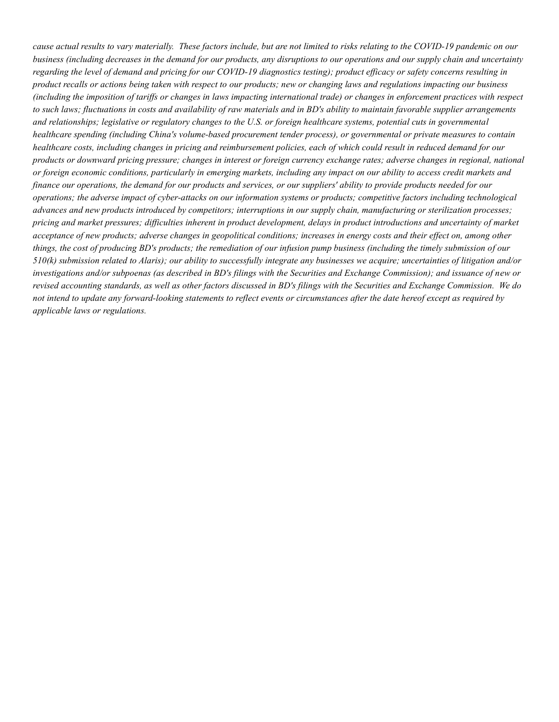cause actual results to vary materially. These factors include, but are not limited to risks relating to the COVID-19 pandemic on our business (including decreases in the demand for our products, any disruptions to our operations and our supply chain and uncertainty regarding the level of demand and pricing for our COVID-19 diagnostics testing); product efficacy or safety concerns resulting in product recalls or actions being taken with respect to our products; new or changing laws and regulations impacting our business (including the imposition of tariffs or changes in laws impacting international trade) or changes in enforcement practices with respect to such laws; fluctuations in costs and availability of raw materials and in BD's ability to maintain favorable supplier arrangements and relationships; legislative or regulatory changes to the U.S. or foreign healthcare systems, potential cuts in governmental healthcare spending (including China's volume-based procurement tender process), or governmental or private measures to contain healthcare costs, including changes in pricing and reimbursement policies, each of which could result in reduced demand for our products or downward pricing pressure; changes in interest or foreign currency exchange rates; adverse changes in regional, national or foreign economic conditions, particularly in emerging markets, including any impact on our ability to access credit markets and finance our operations, the demand for our products and services, or our suppliers' ability to provide products needed for our operations; the adverse impact of cyber-attacks on our information systems or products; competitive factors including technological advances and new products introduced by competitors; interruptions in our supply chain, manufacturing or sterilization processes; pricing and market pressures; difficulties inherent in product development, delays in product introductions and uncertainty of market acceptance of new products; adverse changes in geopolitical conditions; increases in energy costs and their effect on, among other things, the cost of producing BD's products; the remediation of our infusion pump business (including the timely submission of our 510(k) submission related to Alaris); our ability to successfully integrate any businesses we acquire; uncertainties of litigation and/or investigations and/or subpoenas (as described in BD's filings with the Securities and Exchange Commission); and issuance of new or revised accounting standards, as well as other factors discussed in BD's filings with the Securities and Exchange Commission. We do not intend to update any forward-looking statements to reflect events or circumstances after the date hereof except as required by applicable laws or regulations.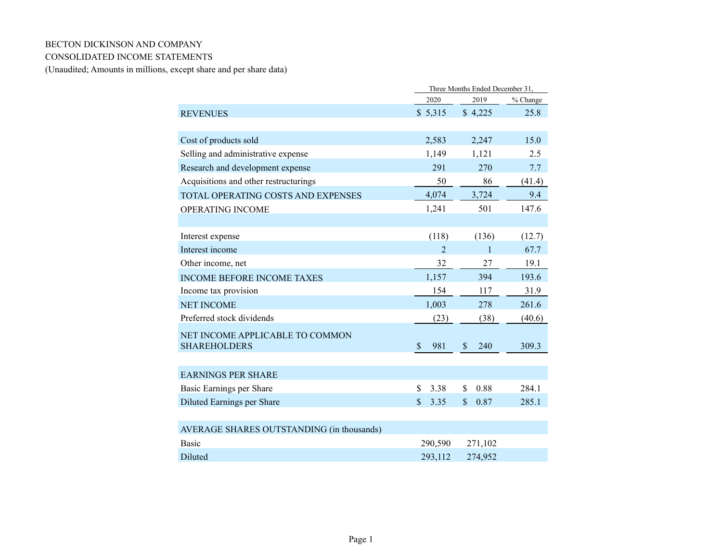## BECTON DICKINSON AND COMPANY

## CONSOLIDATED INCOME STATEMENTS

(Unaudited; Amounts in millions, except share and per share data)

|                                           | Three Months Ended December 31, |                                  |          |  |  |
|-------------------------------------------|---------------------------------|----------------------------------|----------|--|--|
|                                           | 2020                            | 2019                             | % Change |  |  |
| <b>REVENUES</b>                           | \$5,315                         | \$4,225                          | 25.8     |  |  |
|                                           |                                 |                                  |          |  |  |
| Cost of products sold                     | 2,583                           | 2,247                            | 15.0     |  |  |
| Selling and administrative expense        | 1,149                           | 1,121                            | 2.5      |  |  |
| Research and development expense          | 291                             | 270                              | 7.7      |  |  |
| Acquisitions and other restructurings     | 50                              | 86                               | (41.4)   |  |  |
| TOTAL OPERATING COSTS AND EXPENSES        | 4,074                           | 3,724                            | 9.4      |  |  |
| OPERATING INCOME                          | 1,241                           | 501                              | 147.6    |  |  |
|                                           |                                 |                                  |          |  |  |
| Interest expense                          | (118)                           | (136)                            | (12.7)   |  |  |
| Interest income                           | $\mathfrak{D}$                  | 1                                | 67.7     |  |  |
| Other income, net                         | 32                              | 27                               | 19.1     |  |  |
| <b>INCOME BEFORE INCOME TAXES</b>         | 1,157                           | 394                              | 193.6    |  |  |
| Income tax provision                      | 154                             | 117                              | 31.9     |  |  |
| <b>NET INCOME</b>                         | 1,003                           | 278                              | 261.6    |  |  |
| Preferred stock dividends                 | (23)                            | (38)                             | (40.6)   |  |  |
| NET INCOME APPLICABLE TO COMMON           |                                 |                                  |          |  |  |
| <b>SHAREHOLDERS</b>                       | $\mathbf S$<br>981              | $\boldsymbol{\mathsf{S}}$<br>240 | 309.3    |  |  |
|                                           |                                 |                                  |          |  |  |
| <b>EARNINGS PER SHARE</b>                 |                                 |                                  |          |  |  |
| Basic Earnings per Share                  | 3.38<br>\$                      | 0.88<br>\$                       | 284.1    |  |  |
| Diluted Earnings per Share                | $\mathbf{\hat{S}}$<br>3.35      | $\mathbf{\$}$<br>0.87            | 285.1    |  |  |
|                                           |                                 |                                  |          |  |  |
| AVERAGE SHARES OUTSTANDING (in thousands) |                                 |                                  |          |  |  |
| <b>Basic</b>                              | 290,590                         | 271,102                          |          |  |  |
| <b>Diluted</b>                            | 293,112                         | 274,952                          |          |  |  |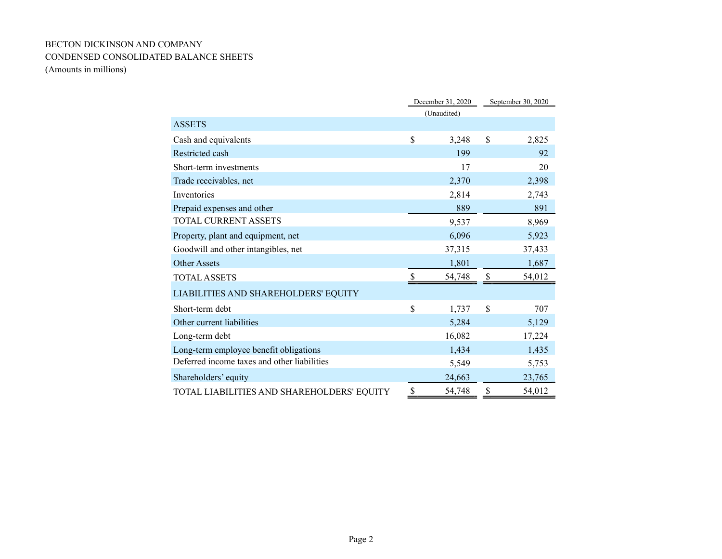# BECTON DICKINSON AND COMPANY CONDENSED CONSOLIDATED BALANCE SHEETS (Amounts in millions)

|                                             |             | December 31, 2020 | September 30, 2020 |        |
|---------------------------------------------|-------------|-------------------|--------------------|--------|
|                                             |             | (Unaudited)       |                    |        |
| <b>ASSETS</b>                               |             |                   |                    |        |
| Cash and equivalents                        | \$          | 3,248             | \$                 | 2,825  |
| Restricted cash                             |             | 199               |                    | 92     |
| Short-term investments                      |             | 17                |                    | 20     |
| Trade receivables, net                      |             | 2,370             |                    | 2,398  |
| Inventories                                 |             | 2,814             |                    | 2,743  |
| Prepaid expenses and other                  |             | 889               |                    | 891    |
| <b>TOTAL CURRENT ASSETS</b>                 |             | 9,537             |                    | 8,969  |
| Property, plant and equipment, net          |             | 6,096             |                    | 5,923  |
| Goodwill and other intangibles, net         |             | 37,315            |                    | 37,433 |
| <b>Other Assets</b>                         |             | 1,801             |                    | 1,687  |
| <b>TOTAL ASSETS</b>                         |             | 54,748            |                    | 54,012 |
| LIABILITIES AND SHAREHOLDERS' EQUITY        |             |                   |                    |        |
| Short-term debt                             | $\mathbf S$ | 1,737             | \$                 | 707    |
| Other current liabilities                   |             | 5,284             |                    | 5,129  |
| Long-term debt                              |             | 16,082            |                    | 17,224 |
| Long-term employee benefit obligations      |             | 1,434             |                    | 1,435  |
| Deferred income taxes and other liabilities |             | 5,549             |                    | 5,753  |
| Shareholders' equity                        |             | 24,663            |                    | 23,765 |
| TOTAL LIABILITIES AND SHAREHOLDERS' EQUITY  | \$          | 54,748            | \$                 | 54,012 |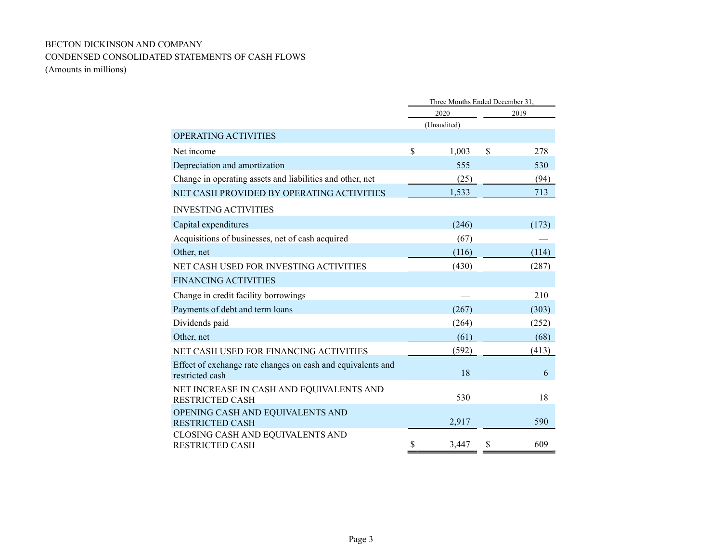# BECTON DICKINSON AND COMPANY CONDENSED CONSOLIDATED STATEMENTS OF CASH FLOWS

(Amounts in millions)

|                                                                                | Three Months Ended December 31, |             |    |       |  |
|--------------------------------------------------------------------------------|---------------------------------|-------------|----|-------|--|
|                                                                                |                                 | 2020        |    | 2019  |  |
|                                                                                |                                 | (Unaudited) |    |       |  |
| <b>OPERATING ACTIVITIES</b>                                                    |                                 |             |    |       |  |
| Net income                                                                     | \$                              | 1,003       | \$ | 278   |  |
| Depreciation and amortization                                                  |                                 | 555         |    | 530   |  |
| Change in operating assets and liabilities and other, net                      |                                 | (25)        |    | (94)  |  |
| NET CASH PROVIDED BY OPERATING ACTIVITIES                                      |                                 | 1,533       |    | 713   |  |
| <b>INVESTING ACTIVITIES</b>                                                    |                                 |             |    |       |  |
| Capital expenditures                                                           |                                 | (246)       |    | (173) |  |
| Acquisitions of businesses, net of cash acquired                               |                                 | (67)        |    |       |  |
| Other, net                                                                     |                                 | (116)       |    | (114) |  |
| NET CASH USED FOR INVESTING ACTIVITIES                                         |                                 | (430)       |    | (287) |  |
| <b>FINANCING ACTIVITIES</b>                                                    |                                 |             |    |       |  |
| Change in credit facility borrowings                                           |                                 |             |    | 210   |  |
| Payments of debt and term loans                                                |                                 | (267)       |    | (303) |  |
| Dividends paid                                                                 |                                 | (264)       |    | (252) |  |
| Other, net                                                                     |                                 | (61)        |    | (68)  |  |
| NET CASH USED FOR FINANCING ACTIVITIES                                         |                                 | (592)       |    | (413) |  |
| Effect of exchange rate changes on cash and equivalents and<br>restricted cash |                                 | 18          |    | 6     |  |
| NET INCREASE IN CASH AND EQUIVALENTS AND<br><b>RESTRICTED CASH</b>             |                                 | 530         |    | 18    |  |
| OPENING CASH AND EQUIVALENTS AND<br><b>RESTRICTED CASH</b>                     |                                 | 2,917       |    | 590   |  |
| CLOSING CASH AND EQUIVALENTS AND<br><b>RESTRICTED CASH</b>                     | S                               | 3,447       |    | 609   |  |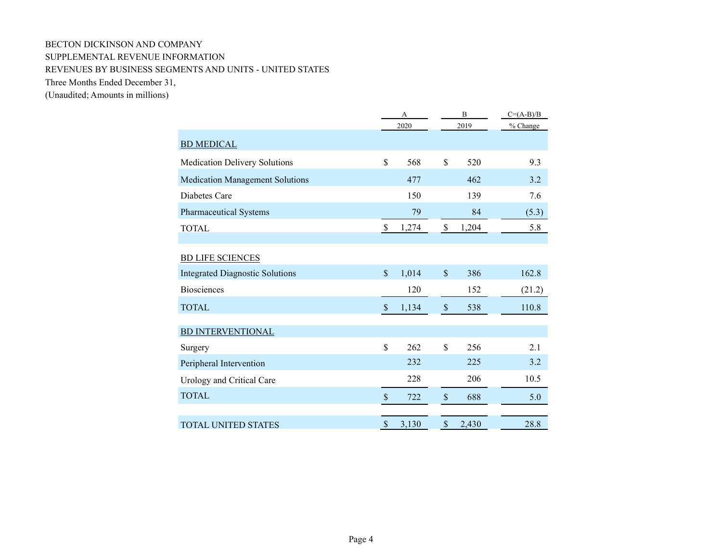# BECTON DICKINSON AND COMPANY SUPPLEMENTAL REVENUE INFORMATION REVENUES BY BUSINESS SEGMENTS AND UNITS - UNITED STATES Three Months Ended December 31,

(Unaudited; Amounts in millions)

|                                        |                           | A<br>2020 |                    | B<br>2019 | $C=(A-B)/B$<br>% Change |
|----------------------------------------|---------------------------|-----------|--------------------|-----------|-------------------------|
|                                        |                           |           |                    |           |                         |
| <b>BD MEDICAL</b>                      |                           |           |                    |           |                         |
| Medication Delivery Solutions          | \$                        | 568       | \$                 | 520       | 9.3                     |
| <b>Medication Management Solutions</b> |                           | 477       |                    | 462       | 3.2                     |
| Diabetes Care                          |                           | 150       |                    | 139       | 7.6                     |
| <b>Pharmaceutical Systems</b>          |                           | 79        |                    | 84        | (5.3)                   |
| <b>TOTAL</b>                           | $\mathbb{S}$              | 1,274     | $\$$               | 1,204     | 5.8                     |
|                                        |                           |           |                    |           |                         |
| <b>BD LIFE SCIENCES</b>                |                           |           |                    |           |                         |
| <b>Integrated Diagnostic Solutions</b> | $\mathcal{S}$             | 1,014     | $\mathbf{\hat{S}}$ | 386       | 162.8                   |
| <b>Biosciences</b>                     |                           | 120       |                    | 152       | (21.2)                  |
| <b>TOTAL</b>                           | $\mathbf{\hat{S}}$        | 1,134     | \$                 | 538       | 110.8                   |
|                                        |                           |           |                    |           |                         |
| <b>BD INTERVENTIONAL</b>               |                           |           |                    |           |                         |
| Surgery                                | \$                        | 262       | \$                 | 256       | 2.1                     |
| Peripheral Intervention                |                           | 232       |                    | 225       | 3.2                     |
| Urology and Critical Care              |                           | 228       |                    | 206       | 10.5                    |
| <b>TOTAL</b>                           | $\boldsymbol{\mathsf{S}}$ | 722       | $\$$               | 688       | 5.0                     |
|                                        |                           |           |                    |           |                         |
| <b>TOTAL UNITED STATES</b>             | \$                        | 3,130     | \$                 | 2,430     | 28.8                    |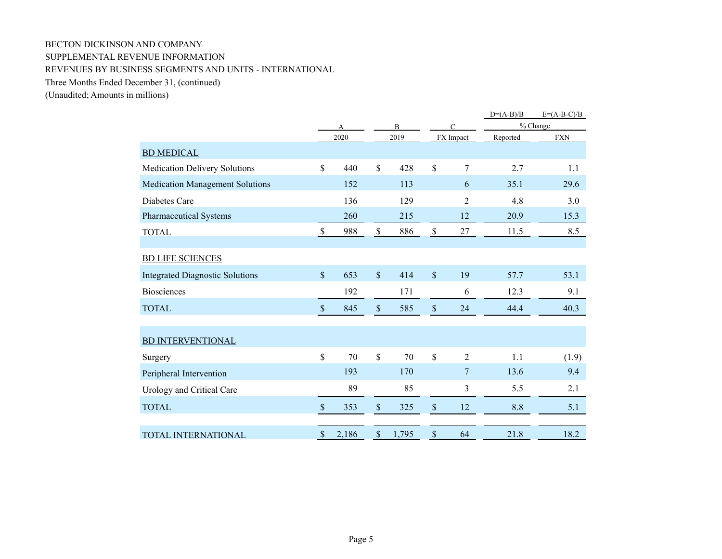# BECTON DICKINSON AND COMPANY SUPPLEMENTAL REVENUE INFORMATION REVENUES BY BUSINESS SEGMENTS AND UNITS - INTERNATIONAL Three Months Ended December 31, (continued)

(Unaudited; Amounts in millions)

|                                        |                           |                   |                           |       |               |                | $D=(A-B)/B$ | $E=(A-B-C)/B$ |
|----------------------------------------|---------------------------|-------------------|---------------------------|-------|---------------|----------------|-------------|---------------|
|                                        |                           | $\mathbf{B}$<br>A |                           |       |               | $\mathcal{C}$  |             | % Change      |
|                                        |                           | 2020              |                           | 2019  |               | FX Impact      | Reported    | <b>FXN</b>    |
| <b>BD MEDICAL</b>                      |                           |                   |                           |       |               |                |             |               |
| <b>Medication Delivery Solutions</b>   | $\mathbb{S}$              | 440               | \$                        | 428   | \$            | $\overline{7}$ | 2.7         | 1.1           |
| <b>Medication Management Solutions</b> |                           | 152               |                           | 113   |               | 6              | 35.1        | 29.6          |
| Diabetes Care                          |                           | 136               |                           | 129   |               | 2              | 4.8         | 3.0           |
| <b>Pharmaceutical Systems</b>          |                           | 260               |                           | 215   |               | 12             | 20.9        | 15.3          |
| <b>TOTAL</b>                           | $\mathbb S$               | 988               | $\$$                      | 886   | $\mathbb S$   | 27             | 11.5        | 8.5           |
|                                        |                           |                   |                           |       |               |                |             |               |
| <b>BD LIFE SCIENCES</b>                |                           |                   |                           |       |               |                |             |               |
| <b>Integrated Diagnostic Solutions</b> | $\sqrt{\ }$               | 653               | $\boldsymbol{\mathsf{S}}$ | 414   | $\mathcal{S}$ | 19             | 57.7        | 53.1          |
| <b>Biosciences</b>                     |                           | 192               |                           | 171   |               | 6              | 12.3        | 9.1           |
| <b>TOTAL</b>                           | $\sqrt{\ }$               | 845               | $\sqrt{\ }$               | 585   | \$            | 24             | 44.4        | 40.3          |
|                                        |                           |                   |                           |       |               |                |             |               |
| <b>BD INTERVENTIONAL</b>               |                           |                   |                           |       |               |                |             |               |
| Surgery                                | $\mathbb{S}$              | 70                | \$                        | 70    | \$            | $\overline{2}$ | 1.1         | (1.9)         |
| Peripheral Intervention                |                           | 193               |                           | 170   |               | 7              | 13.6        | 9.4           |
| Urology and Critical Care              |                           | 89                |                           | 85    |               | $\mathfrak{Z}$ | 5.5         | 2.1           |
| <b>TOTAL</b>                           | $\boldsymbol{\mathsf{S}}$ | 353               | $\mathcal{S}$             | 325   | \$            | 12             | 8.8         | 5.1           |
|                                        |                           |                   |                           |       |               |                |             |               |
| <b>TOTAL INTERNATIONAL</b>             | $\boldsymbol{\mathsf{S}}$ | 2,186             | \$                        | 1,795 | \$            | 64             | 21.8        | 18.2          |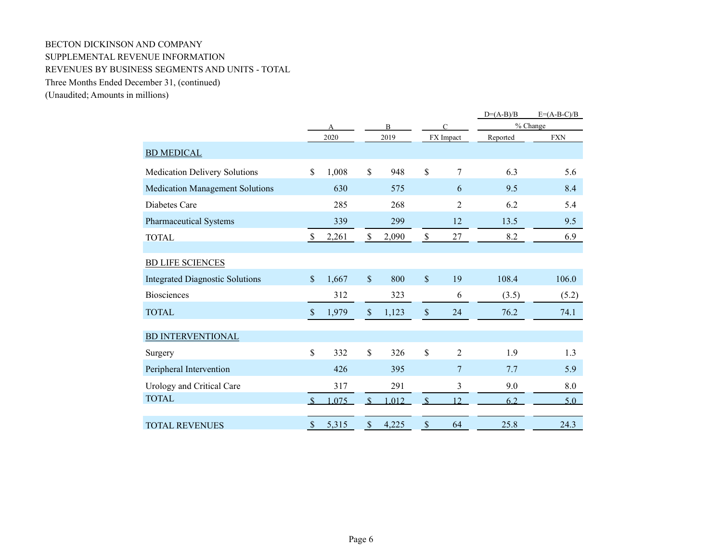# BECTON DICKINSON AND COMPANY SUPPLEMENTAL REVENUE INFORMATION REVENUES BY BUSINESS SEGMENTS AND UNITS - TOTAL Three Months Ended December 31, (continued)

(Unaudited; Amounts in millions)

|                                        |               |       |                           |                |               |                | $D=(A-B)/B$ | $E=(A-B-C)/B$ |
|----------------------------------------|---------------|-------|---------------------------|----------------|---------------|----------------|-------------|---------------|
|                                        |               |       |                           | $\overline{B}$ | $\subset$     |                |             | % Change      |
|                                        |               | 2020  |                           | 2019           |               | FX Impact      | Reported    | <b>FXN</b>    |
| <b>BD MEDICAL</b>                      |               |       |                           |                |               |                |             |               |
| Medication Delivery Solutions          | $\mathbb{S}$  | 1,008 | $\mathbb{S}$              | 948            | $\mathbb{S}$  | 7              | 6.3         | 5.6           |
| <b>Medication Management Solutions</b> |               | 630   |                           | 575            |               | 6              | 9.5         | 8.4           |
| Diabetes Care                          |               | 285   |                           | 268            |               | $\overline{2}$ | 6.2         | 5.4           |
| <b>Pharmaceutical Systems</b>          |               | 339   |                           | 299            |               | 12             | 13.5        | 9.5           |
| <b>TOTAL</b>                           | $\mathcal{S}$ | 2,261 | $\$$                      | 2,090          | $\mathbb S$   | 27             | 8.2         | 6.9           |
| <b>BD LIFE SCIENCES</b>                |               |       |                           |                |               |                |             |               |
| <b>Integrated Diagnostic Solutions</b> | \$            | 1,667 | $\$$                      | 800            | $\mathsf{\$}$ | 19             | 108.4       | 106.0         |
| <b>Biosciences</b>                     |               | 312   |                           | 323            |               | 6              | (3.5)       | (5.2)         |
| <b>TOTAL</b>                           | \$            | 1,979 | $\$$                      | 1,123          | \$            | 24             | 76.2        | 74.1          |
| <b>BD INTERVENTIONAL</b>               |               |       |                           |                |               |                |             |               |
| Surgery                                | \$            | 332   | $\mathbb{S}$              | 326            | \$            | $\overline{2}$ | 1.9         | 1.3           |
| Peripheral Intervention                |               | 426   |                           | 395            |               | $\overline{7}$ | 7.7         | 5.9           |
| Urology and Critical Care              |               | 317   |                           | 291            |               | 3              | 9.0         | 8.0           |
| <b>TOTAL</b>                           |               | .075  | $\mathcal{S}$             | .012           | $\mathcal{S}$ | 12             | 6.2         | 5.0           |
| <b>TOTAL REVENUES</b>                  | $\mathcal{S}$ | 5,315 | $\boldsymbol{\mathsf{S}}$ | 4,225          | \$            | 64             | 25.8        | 24.3          |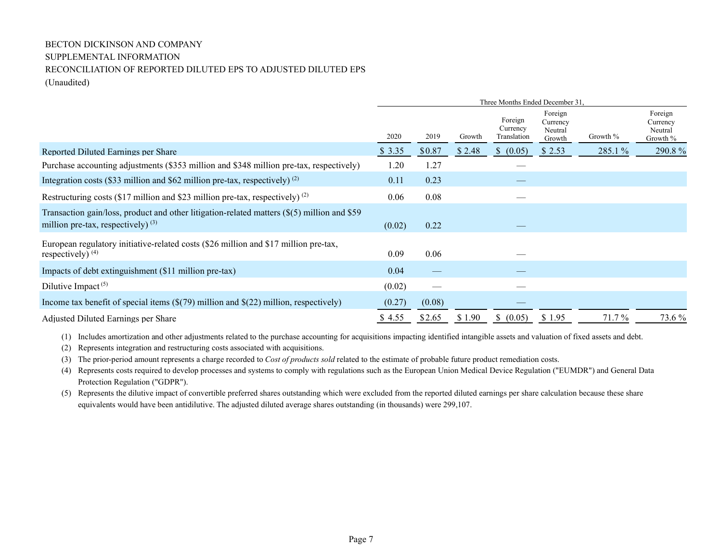# BECTON DICKINSON AND COMPANY SUPPLEMENTAL INFORMATION RECONCILIATION OF REPORTED DILUTED EPS TO ADJUSTED DILUTED EPS (Unaudited)

|                                                                                                                                     | Three Months Ended December 31, |        |        |                                    |                                          |          |                                            |
|-------------------------------------------------------------------------------------------------------------------------------------|---------------------------------|--------|--------|------------------------------------|------------------------------------------|----------|--------------------------------------------|
|                                                                                                                                     | 2020                            | 2019   | Growth | Foreign<br>Currency<br>Translation | Foreign<br>Currency<br>Neutral<br>Growth | Growth % | Foreign<br>Currency<br>Neutral<br>Growth % |
| Reported Diluted Earnings per Share                                                                                                 | \$3.35                          | \$0.87 | \$2.48 | \$ (0.05)                          | \$2.53                                   | 285.1 %  | 290.8%                                     |
| Purchase accounting adjustments (\$353 million and \$348 million pre-tax, respectively)                                             | 1.20                            | 1.27   |        |                                    |                                          |          |                                            |
| Integration costs (\$33 million and \$62 million pre-tax, respectively) $(2)$                                                       | 0.11                            | 0.23   |        |                                    |                                          |          |                                            |
| Restructuring costs (\$17 million and \$23 million pre-tax, respectively) $^{(2)}$                                                  | 0.06                            | 0.08   |        |                                    |                                          |          |                                            |
| Transaction gain/loss, product and other litigation-related matters (\$(5) million and \$59<br>million pre-tax, respectively) $(3)$ | (0.02)                          | 0.22   |        |                                    |                                          |          |                                            |
| European regulatory initiative-related costs (\$26 million and \$17 million pre-tax,<br>respectively) $(4)$                         | 0.09                            | 0.06   |        |                                    |                                          |          |                                            |
| Impacts of debt extinguishment (\$11 million pre-tax)                                                                               | 0.04                            |        |        |                                    |                                          |          |                                            |
| Dilutive Impact <sup>(5)</sup>                                                                                                      | (0.02)                          | —      |        |                                    |                                          |          |                                            |
| Income tax benefit of special items $(\$((79)$ million and $$((22)$ million, respectively)                                          | (0.27)                          | (0.08) |        |                                    |                                          |          |                                            |
| Adjusted Diluted Earnings per Share                                                                                                 | \$4.55                          | \$2.65 | \$1.90 | \$ (0.05)                          | \$1.95                                   | 71.7 %   | 73.6 %                                     |

(1) Includes amortization and other adjustments related to the purchase accounting for acquisitions impacting identified intangible assets and valuation of fixed assets and debt.

(2) Represents integration and restructuring costs associated with acquisitions.

(3) The prior-period amount represents a charge recorded to Cost of products sold related to the estimate of probable future product remediation costs.

(4) Represents costs required to develop processes and systems to comply with regulations such as the European Union Medical Device Regulation ("EUMDR") and General Data Protection Regulation ("GDPR").

(5) Represents the dilutive impact of convertible preferred shares outstanding which were excluded from the reported diluted earnings per share calculation because these share equivalents would have been antidilutive. The adjusted diluted average shares outstanding (in thousands) were 299,107.